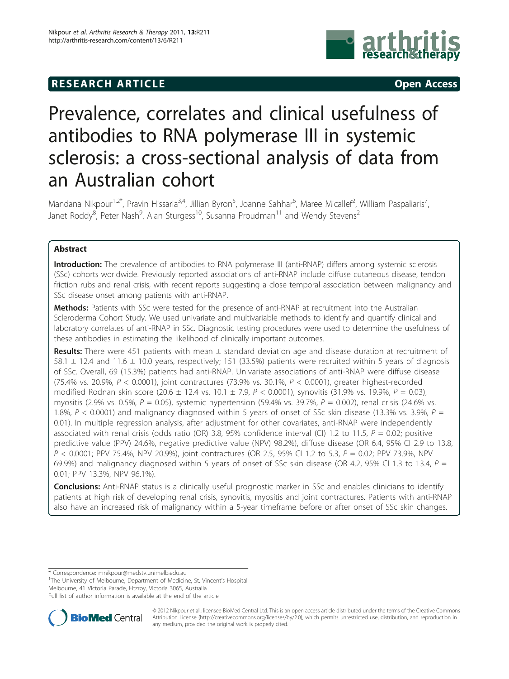# **RESEARCH ARTICLE Example 2014 CONSIDERING CONSIDERING CONSIDERING CONSIDERING CONSIDERING CONSIDERING CONSIDERING CONSIDERING CONSIDERING CONSIDERING CONSIDERING CONSIDERING CONSIDERING CONSIDERING CONSIDERING CONSIDE**



# Prevalence, correlates and clinical usefulness of antibodies to RNA polymerase III in systemic sclerosis: a cross-sectional analysis of data from an Australian cohort

Mandana Nikpour<sup>1,2\*</sup>, Pravin Hissaria<sup>3,4</sup>, Jillian Byron<sup>5</sup>, Joanne Sahhar<sup>6</sup>, Maree Micallef<sup>2</sup>, William Paspaliaris<sup>7</sup> , Janet Roddy<sup>8</sup>, Peter Nash<sup>9</sup>, Alan Sturgess<sup>10</sup>, Susanna Proudman<sup>11</sup> and Wendy Stevens<sup>2</sup>

# Abstract

Introduction: The prevalence of antibodies to RNA polymerase III (anti-RNAP) differs among systemic sclerosis (SSc) cohorts worldwide. Previously reported associations of anti-RNAP include diffuse cutaneous disease, tendon friction rubs and renal crisis, with recent reports suggesting a close temporal association between malignancy and SSc disease onset among patients with anti-RNAP.

Methods: Patients with SSc were tested for the presence of anti-RNAP at recruitment into the Australian Scleroderma Cohort Study. We used univariate and multivariable methods to identify and quantify clinical and laboratory correlates of anti-RNAP in SSc. Diagnostic testing procedures were used to determine the usefulness of these antibodies in estimating the likelihood of clinically important outcomes.

Results: There were 451 patients with mean  $\pm$  standard deviation age and disease duration at recruitment of 58.1  $\pm$  12.4 and 11.6  $\pm$  10.0 years, respectively; 151 (33.5%) patients were recruited within 5 years of diagnosis of SSc. Overall, 69 (15.3%) patients had anti-RNAP. Univariate associations of anti-RNAP were diffuse disease (75.4% vs. 20.9%,  $P < 0.0001$ ), joint contractures (73.9% vs. 30.1%,  $P < 0.0001$ ), greater highest-recorded modified Rodnan skin score (20.6 ± 12.4 vs. 10.1 ± 7.9,  $P < 0.0001$ ), synovitis (31.9% vs. 19.9%,  $P = 0.03$ ), myositis (2.9% vs. 0.5%,  $P = 0.05$ ), systemic hypertension (59.4% vs. 39.7%,  $P = 0.002$ ), renal crisis (24.6% vs. 1.8%,  $P < 0.0001$ ) and malignancy diagnosed within 5 years of onset of SSc skin disease (13.3% vs. 3.9%,  $P =$ 0.01). In multiple regression analysis, after adjustment for other covariates, anti-RNAP were independently associated with renal crisis (odds ratio (OR) 3.8, 95% confidence interval (CI) 1.2 to 11.5,  $P = 0.02$ ; positive predictive value (PPV) 24.6%, negative predictive value (NPV) 98.2%), diffuse disease (OR 6.4, 95% CI 2.9 to 13.8,  $P < 0.0001$ ; PPV 75.4%, NPV 20.9%), joint contractures (OR 2.5, 95% CI 1.2 to 5.3,  $P = 0.02$ ; PPV 73.9%, NPV 69.9%) and malignancy diagnosed within 5 years of onset of SSc skin disease (OR 4.2, 95% CI 1.3 to 13.4,  $P =$ 0.01; PPV 13.3%, NPV 96.1%).

Conclusions: Anti-RNAP status is a clinically useful prognostic marker in SSc and enables clinicians to identify patients at high risk of developing renal crisis, synovitis, myositis and joint contractures. Patients with anti-RNAP also have an increased risk of malignancy within a 5-year timeframe before or after onset of SSc skin changes.

\* Correspondence: [mnikpour@medstv.unimelb.edu.au](mailto:mnikpour@medstv.unimelb.edu.au)

<sup>1</sup>The University of Melbourne, Department of Medicine, St. Vincent's Hospital Melbourne, 41 Victoria Parade, Fitzroy, Victoria 3065, Australia Full list of author information is available at the end of the article



© 2012 Nikpour et al.; licensee BioMed Central Ltd. This is an open access article distributed under the terms of the Creative Commons Attribution License [\(http://creativecommons.org/licenses/by/2.0](http://creativecommons.org/licenses/by/2.0)), which permits unrestricted use, distribution, and reproduction in any medium, provided the original work is properly cited.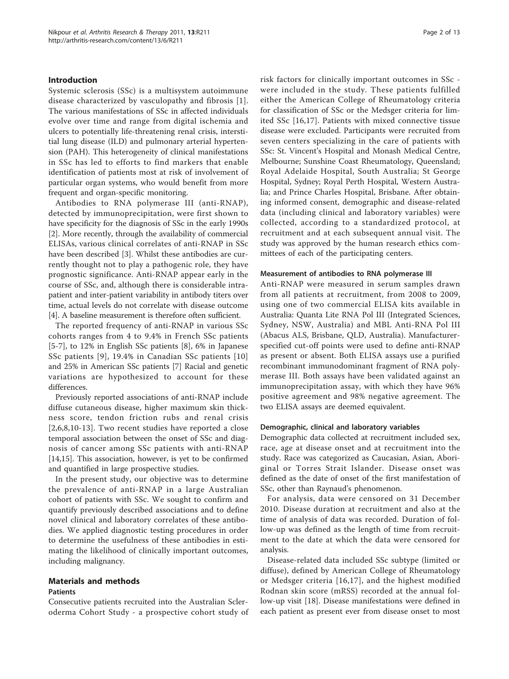# Introduction

Systemic sclerosis (SSc) is a multisystem autoimmune disease characterized by vasculopathy and fibrosis [[1\]](#page-11-0). The various manifestations of SSc in affected individuals evolve over time and range from digital ischemia and ulcers to potentially life-threatening renal crisis, interstitial lung disease (ILD) and pulmonary arterial hypertension (PAH). This heterogeneity of clinical manifestations in SSc has led to efforts to find markers that enable identification of patients most at risk of involvement of particular organ systems, who would benefit from more frequent and organ-specific monitoring.

Antibodies to RNA polymerase III (anti-RNAP), detected by immunoprecipitation, were first shown to have specificity for the diagnosis of SSc in the early 1990s [[2\]](#page-11-0). More recently, through the availability of commercial ELISAs, various clinical correlates of anti-RNAP in SSc have been described [[3\]](#page-11-0). Whilst these antibodies are currently thought not to play a pathogenic role, they have prognostic significance. Anti-RNAP appear early in the course of SSc, and, although there is considerable intrapatient and inter-patient variability in antibody titers over time, actual levels do not correlate with disease outcome [[4\]](#page-11-0). A baseline measurement is therefore often sufficient.

The reported frequency of anti-RNAP in various SSc cohorts ranges from 4 to 9.4% in French SSc patients [[5-7](#page-11-0)], to 12% in English SSc patients [\[8](#page-11-0)], 6% in Japanese SSc patients [[9](#page-11-0)], 19.4% in Canadian SSc patients [[10](#page-11-0)] and 25% in American SSc patients [[7\]](#page-11-0) Racial and genetic variations are hypothesized to account for these differences.

Previously reported associations of anti-RNAP include diffuse cutaneous disease, higher maximum skin thickness score, tendon friction rubs and renal crisis [[2,6](#page-11-0),[8,10](#page-11-0)-[13\]](#page-11-0). Two recent studies have reported a close temporal association between the onset of SSc and diagnosis of cancer among SSc patients with anti-RNAP [[14,15\]](#page-11-0). This association, however, is yet to be confirmed and quantified in large prospective studies.

In the present study, our objective was to determine the prevalence of anti-RNAP in a large Australian cohort of patients with SSc. We sought to confirm and quantify previously described associations and to define novel clinical and laboratory correlates of these antibodies. We applied diagnostic testing procedures in order to determine the usefulness of these antibodies in estimating the likelihood of clinically important outcomes, including malignancy.

# Materials and methods

# **Patients**

Consecutive patients recruited into the Australian Scleroderma Cohort Study - a prospective cohort study of risk factors for clinically important outcomes in SSc were included in the study. These patients fulfilled either the American College of Rheumatology criteria for classification of SSc or the Medsger criteria for limited SSc [[16,17](#page-11-0)]. Patients with mixed connective tissue disease were excluded. Participants were recruited from seven centers specializing in the care of patients with SSc: St. Vincent's Hospital and Monash Medical Centre, Melbourne; Sunshine Coast Rheumatology, Queensland; Royal Adelaide Hospital, South Australia; St George Hospital, Sydney; Royal Perth Hospital, Western Australia; and Prince Charles Hospital, Brisbane. After obtaining informed consent, demographic and disease-related data (including clinical and laboratory variables) were collected, according to a standardized protocol, at recruitment and at each subsequent annual visit. The study was approved by the human research ethics committees of each of the participating centers.

#### Measurement of antibodies to RNA polymerase III

Anti-RNAP were measured in serum samples drawn from all patients at recruitment, from 2008 to 2009, using one of two commercial ELISA kits available in Australia: Quanta Lite RNA Pol III (Integrated Sciences, Sydney, NSW, Australia) and MBL Anti-RNA Pol III (Abacus ALS, Brisbane, QLD, Australia). Manufacturerspecified cut-off points were used to define anti-RNAP as present or absent. Both ELISA assays use a purified recombinant immunodominant fragment of RNA polymerase III. Both assays have been validated against an immunoprecipitation assay, with which they have 96% positive agreement and 98% negative agreement. The two ELISA assays are deemed equivalent.

#### Demographic, clinical and laboratory variables

Demographic data collected at recruitment included sex, race, age at disease onset and at recruitment into the study. Race was categorized as Caucasian, Asian, Aboriginal or Torres Strait Islander. Disease onset was defined as the date of onset of the first manifestation of SSc, other than Raynaud's phenomenon.

For analysis, data were censored on 31 December 2010. Disease duration at recruitment and also at the time of analysis of data was recorded. Duration of follow-up was defined as the length of time from recruitment to the date at which the data were censored for analysis.

Disease-related data included SSc subtype (limited or diffuse), defined by American College of Rheumatology or Medsger criteria [[16,17\]](#page-11-0), and the highest modified Rodnan skin score (mRSS) recorded at the annual follow-up visit [[18\]](#page-11-0). Disease manifestations were defined in each patient as present ever from disease onset to most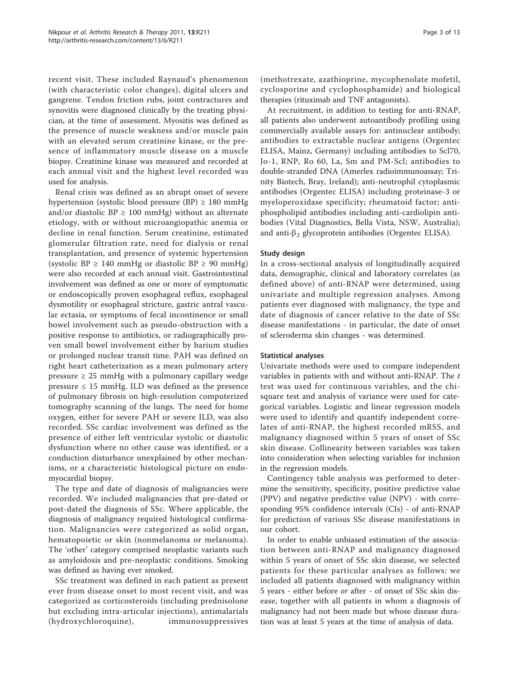recent visit. These included Raynaud's phenomenon (with characteristic color changes), digital ulcers and gangrene. Tendon friction rubs, joint contractures and synovitis were diagnosed clinically by the treating physician, at the time of assessment. Myositis was defined as the presence of muscle weakness and/or muscle pain with an elevated serum creatinine kinase, or the presence of inflammatory muscle disease on a muscle biopsy. Creatinine kinase was measured and recorded at each annual visit and the highest level recorded was used for analysis.

Renal crisis was defined as an abrupt onset of severe hypertension (systolic blood pressure (BP) ≥ 180 mmHg and/or diastolic BP  $\geq$  100 mmHg) without an alternate etiology, with or without microangiopathic anemia or decline in renal function. Serum creatinine, estimated glomerular filtration rate, need for dialysis or renal transplantation, and presence of systemic hypertension (systolic BP  $\geq$  140 mmHg or diastolic BP  $\geq$  90 mmHg) were also recorded at each annual visit. Gastrointestinal involvement was defined as one or more of symptomatic or endoscopically proven esophageal reflux, esophageal dysmotility or esophageal stricture, gastric antral vascular ectasia, or symptoms of fecal incontinence or small bowel involvement such as pseudo-obstruction with a positive response to antibiotics, or radiographically proven small bowel involvement either by barium studies or prolonged nuclear transit time. PAH was defined on right heart catheterization as a mean pulmonary artery pressure  $\geq 25$  mmHg with a pulmonary capillary wedge pressure ≤ 15 mmHg. ILD was defined as the presence of pulmonary fibrosis on high-resolution computerized tomography scanning of the lungs. The need for home oxygen, either for severe PAH or severe ILD, was also recorded. SSc cardiac involvement was defined as the presence of either left ventricular systolic or diastolic dysfunction where no other cause was identified, or a conduction disturbance unexplained by other mechanisms, or a characteristic histological picture on endomyocardial biopsy.

The type and date of diagnosis of malignancies were recorded. We included malignancies that pre-dated or post-dated the diagnosis of SSc. Where applicable, the diagnosis of malignancy required histological confirmation. Malignancies were categorized as solid organ, hematopoietic or skin (nonmelanoma or melanoma). The 'other' category comprised neoplastic variants such as amyloidosis and pre-neoplastic conditions. Smoking was defined as having ever smoked.

SSc treatment was defined in each patient as present ever from disease onset to most recent visit, and was categorized as corticosteroids (including prednisolone but excluding intra-articular injections), antimalarials (hydroxychloroquine), immunosuppressives

(methotrexate, azathioprine, mycophenolate mofetil, cyclosporine and cyclophosphamide) and biological therapies (rituximab and TNF antagonists).

At recruitment, in addition to testing for anti-RNAP, all patients also underwent autoantibody profiling using commercially available assays for: antinuclear antibody; antibodies to extractable nuclear antigens (Orgentec ELISA, Mainz, Germany) including antibodies to Scl70, Jo-1, RNP, Ro 60, La, Sm and PM-Scl; antibodies to double-stranded DNA (Amerlex radioimmunoassay; Trinity Biotech, Bray, Ireland); anti-neutrophil cytoplasmic antibodies (Orgentec ELISA) including proteinase-3 or myeloperoxidase specificity; rheumatoid factor; antiphospholipid antibodies including anti-cardiolipin antibodies (Vital Diagnostics, Bella Vista, NSW, Australia); and anti- $\beta_2$  glycoprotein antibodies (Orgentec ELISA).

#### Study design

In a cross-sectional analysis of longitudinally acquired data, demographic, clinical and laboratory correlates (as defined above) of anti-RNAP were determined, using univariate and multiple regression analyses. Among patients ever diagnosed with malignancy, the type and date of diagnosis of cancer relative to the date of SSc disease manifestations - in particular, the date of onset of scleroderma skin changes - was determined.

#### Statistical analyses

Univariate methods were used to compare independent variables in patients with and without anti-RNAP. The t test was used for continuous variables, and the chisquare test and analysis of variance were used for categorical variables. Logistic and linear regression models were used to identify and quantify independent correlates of anti-RNAP, the highest recorded mRSS, and malignancy diagnosed within 5 years of onset of SSc skin disease. Collinearity between variables was taken into consideration when selecting variables for inclusion in the regression models.

Contingency table analysis was performed to determine the sensitivity, specificity, positive predictive value (PPV) and negative predictive value (NPV) - with corresponding 95% confidence intervals (CIs) - of anti-RNAP for prediction of various SSc disease manifestations in our cohort.

In order to enable unbiased estimation of the association between anti-RNAP and malignancy diagnosed within 5 years of onset of SSc skin disease, we selected patients for these particular analyses as follows: we included all patients diagnosed with malignancy within 5 years - either before or after - of onset of SSc skin disease, together with all patients in whom a diagnosis of malignancy had not been made but whose disease duration was at least 5 years at the time of analysis of data.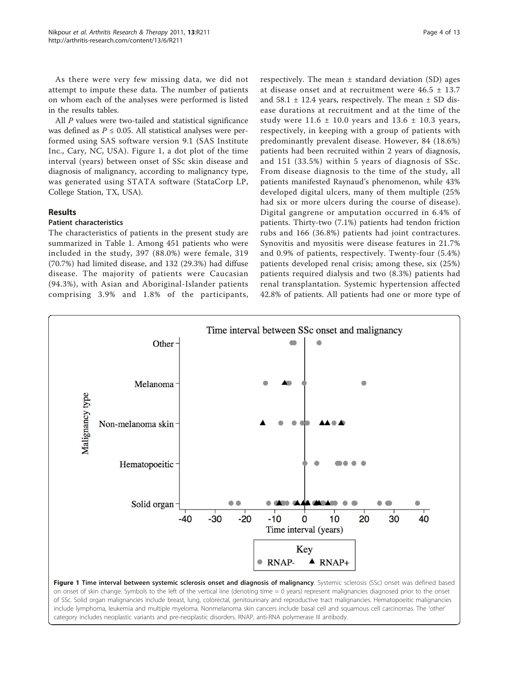<span id="page-3-0"></span>As there were very few missing data, we did not attempt to impute these data. The number of patients on whom each of the analyses were performed is listed in the results tables.

All P values were two-tailed and statistical significance was defined as  $P \leq 0.05$ . All statistical analyses were performed using SAS software version 9.1 (SAS Institute Inc., Cary, NC, USA). Figure 1, a dot plot of the time interval (years) between onset of SSc skin disease and diagnosis of malignancy, according to malignancy type, was generated using STATA software (StataCorp LP, College Station, TX, USA).

# Results

#### Patient characteristics

The characteristics of patients in the present study are summarized in Table [1.](#page-4-0) Among 451 patients who were included in the study, 397 (88.0%) were female, 319 (70.7%) had limited disease, and 132 (29.3%) had diffuse disease. The majority of patients were Caucasian (94.3%), with Asian and Aboriginal-Islander patients comprising 3.9% and 1.8% of the participants,

respectively. The mean  $\pm$  standard deviation (SD) ages at disease onset and at recruitment were  $46.5 \pm 13.7$ and  $58.1 \pm 12.4$  years, respectively. The mean  $\pm$  SD disease durations at recruitment and at the time of the study were  $11.6 \pm 10.0$  years and  $13.6 \pm 10.3$  years, respectively, in keeping with a group of patients with predominantly prevalent disease. However, 84 (18.6%) patients had been recruited within 2 years of diagnosis, and 151 (33.5%) within 5 years of diagnosis of SSc. From disease diagnosis to the time of the study, all patients manifested Raynaud's phenomenon, while 43% developed digital ulcers, many of them multiple (25% had six or more ulcers during the course of disease). Digital gangrene or amputation occurred in 6.4% of patients. Thirty-two (7.1%) patients had tendon friction rubs and 166 (36.8%) patients had joint contractures. Synovitis and myositis were disease features in 21.7% and 0.9% of patients, respectively. Twenty-four (5.4%) patients developed renal crisis; among these, six (25%) patients required dialysis and two (8.3%) patients had renal transplantation. Systemic hypertension affected 42.8% of patients. All patients had one or more type of



on onset of skin change. Symbols to the left of the vertical line (denoting time = 0 years) represent malignancies diagnosed prior to the onset of SSc. Solid organ malignancies include breast, lung, colorectal, genitourinary and reproductive tract malignancies. Hematopoeitic malignancies include lymphoma, leukemia and multiple myeloma. Nonmelanoma skin cancers include basal cell and squamous cell carcinomas. The 'other' category includes neoplastic variants and pre-neoplastic disorders. RNAP, anti-RNA polymerase III antibody.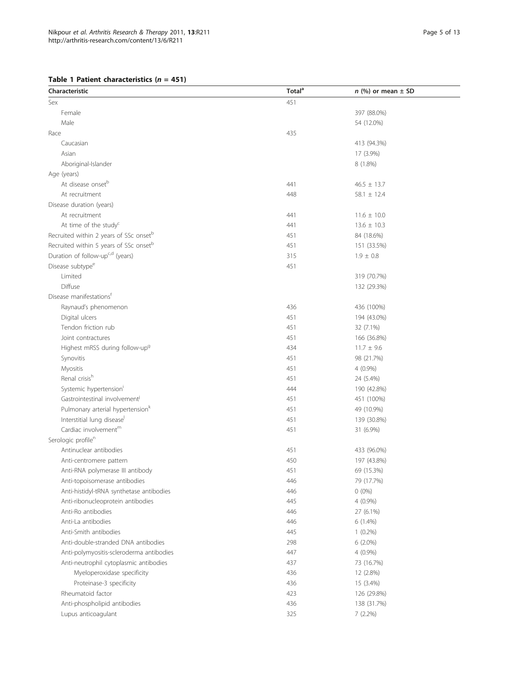<span id="page-4-0"></span>Table 1 Patient characteristics ( $n = 451$ )

| Characteristic                               | Total <sup>a</sup> | $n$ (%) or mean $\pm$ SD |
|----------------------------------------------|--------------------|--------------------------|
| Sex                                          | 451                |                          |
| Female                                       |                    | 397 (88.0%)              |
| Male                                         |                    | 54 (12.0%)               |
| Race                                         | 435                |                          |
| Caucasian                                    |                    | 413 (94.3%)              |
| Asian                                        |                    | 17 (3.9%)                |
| Aboriginal-Islander                          |                    | $8(1.8\%)$               |
| Age (years)                                  |                    |                          |
| At disease onset <sup>b</sup>                | 441                | $46.5 \pm 13.7$          |
| At recruitment                               | 448                | $58.1 \pm 12.4$          |
| Disease duration (years)                     |                    |                          |
| At recruitment                               | 441                | $11.6 \pm 10.0$          |
| At time of the study <sup>c</sup>            | 441                | $13.6 \pm 10.3$          |
| Recruited within 2 years of SSc onsetb       | 451                | 84 (18.6%)               |
| Recruited within 5 years of SSc onsetb       | 451                | 151 (33.5%)              |
| Duration of follow-upc,d (years)             | 315                | $1.9 \pm 0.8$            |
| Disease subtype <sup>e</sup>                 | 451                |                          |
| Limited                                      |                    | 319 (70.7%)              |
| Diffuse                                      |                    | 132 (29.3%)              |
| Disease manifestations <sup>f</sup>          |                    |                          |
| Raynaud's phenomenon                         | 436                | 436 (100%)               |
| Digital ulcers                               | 451                | 194 (43.0%)              |
| Tendon friction rub                          | 451                | 32 (7.1%)                |
| Joint contractures                           | 451                | 166 (36.8%)              |
| Highest mRSS during follow-up <sup>g</sup>   | 434                | $11.7 \pm 9.6$           |
| Synovitis                                    | 451                | 98 (21.7%)               |
| Myositis                                     | 451                | $4(0.9\%)$               |
| Renal crisish                                | 451                | 24 (5.4%)                |
| Systemic hypertension <sup>i</sup>           | 444                | 190 (42.8%)              |
| Gastrointestinal involvement <sup>j</sup>    | 451                | 451 (100%)               |
| Pulmonary arterial hypertension <sup>k</sup> | 451                | 49 (10.9%)               |
| Interstitial lung disease                    | 451                | 139 (30.8%)              |
| Cardiac involvement <sup>m</sup>             | 451                | 31 (6.9%)                |
| Serologic profile <sup>n</sup>               |                    |                          |
| Antinuclear antibodies                       | 451                | 433 (96.0%)              |
| Anti-centromere pattern                      | 450                | 197 (43.8%)              |
| Anti-RNA polymerase III antibody             | 451                | 69 (15.3%)               |
| Anti-topoisomerase antibodies                | 446                | 79 (17.7%)               |
| Anti-histidyl-tRNA synthetase antibodies     | 446                | $0(0\%)$                 |
| Anti-ribonucleoprotein antibodies            | 445                | $4(0.9\%)$               |
| Anti-Ro antibodies                           | 446                | 27 (6.1%)                |
| Anti-La antibodies                           | 446                | 6(1.4%)                  |
| Anti-Smith antibodies                        | 445                | $1(0.2\%)$               |
| Anti-double-stranded DNA antibodies          | 298                | $6(2.0\%)$               |
| Anti-polymyositis-scleroderma antibodies     | 447                | $4(0.9\%)$               |
| Anti-neutrophil cytoplasmic antibodies       | 437                | 73 (16.7%)               |
| Myeloperoxidase specificity                  | 436                | 12 (2.8%)                |
| Proteinase-3 specificity                     | 436                | 15 (3.4%)                |
| Rheumatoid factor                            | 423                | 126 (29.8%)              |
| Anti-phospholipid antibodies                 | 436                | 138 (31.7%)              |
| Lupus anticoagulant                          | 325                | 7 (2.2%)                 |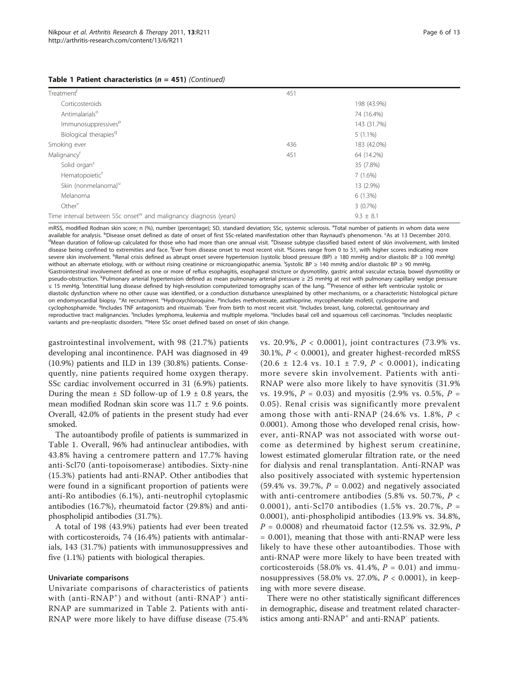#### Table 1 Patient characteristics ( $n = 451$ ) (Continued)

| Treatment <sup>T</sup>                                                        | 451 |               |  |
|-------------------------------------------------------------------------------|-----|---------------|--|
| Corticosteroids                                                               |     | 198 (43.9%)   |  |
| Antimalarials <sup>o</sup>                                                    |     | 74 (16.4%)    |  |
| Immunosuppressives <sup>p</sup>                                               |     | 143 (31.7%)   |  |
| Biological therapies <sup>q</sup>                                             |     | $5(1.1\%)$    |  |
| Smoking ever                                                                  | 436 | 183 (42.0%)   |  |
| Malignancy <sup>r</sup>                                                       | 451 | 64 (14.2%)    |  |
| Solid organ <sup>s</sup>                                                      |     | 35 (7.8%)     |  |
| Hematopoietict                                                                |     | 7(1.6%)       |  |
| Skin (nonmelanoma)"                                                           |     | 13 (2.9%)     |  |
| Melanoma                                                                      |     | 6(1.3%)       |  |
| Other <sup>V</sup>                                                            |     | $3(0.7\%)$    |  |
| Time interval between SSc onset <sup>w</sup> and malignancy diagnosis (years) |     | $9.3 \pm 8.1$ |  |

mRSS, modified Rodnan skin score; n (%), number (percentage); SD, standard deviation; SSc, systemic sclerosis. <sup>a</sup>Total number of patients in whom data were available for analysis. <sup>b</sup>Disease onset defined as date of onset of first SSc-related manifestation other than Raynaud's phenomenon. <sup>c</sup>As at 13 December 2010.<br><sup>d</sup>Maan duration of follows in calculated for those who had m Mean duration of follow-up calculated for those who had more than one annual visit. <sup>e</sup>Disease subtype classified based extent of skin involvement, with limited disease being confined to extremities and face. <sup>f</sup>Ever from disease onset to most recent visit. <sup>g</sup>Scores range from 0 to 51, with higher scores indicating more severe skin involvement. <sup>h</sup>Renal crisis defined as abrupt onset severe hypertension (systolic blood pressure (BP) ≥ 180 mmHg and/or diastolic BP ≥ 100 mmHg) without an alternate etiology, with or without rising creatinine or microangiopathic anemia. Systolic BP ≥ 140 mmHg and/or diastolic BP ≥ 90 mmHg.<br>Castrointestinal involvement defined as one or more of reflux esonhagitis, <sup>j</sup>Gastrointestinal involvement defined as one or more of reflux esophagitis, esophageal stricture or dysmotility, gastric antral vascular ectasia, bowel dysmotility or pseudo-obstruction. <sup>k</sup>Pulmonary arterial hypertension defined as mean pulmonary arterial pressure ≥ 25 mmHg at rest with pulmonary capillary wedge pressure ≤ 15 mmHg. <sup>I</sup>nterstitial lung disease defined by high-resolution computerized tomography scan of the lung. <sup>m</sup>Presence of either left ventricular systolic or diastolic dysfunction where no other cause was identified, or a conduction disturbance unexplained by other mechanisms, or a characteristic histological picture on endomyocardial biopsy. <sup>n</sup>At recruitment. <sup>o</sup>Hydroxychloroquine. <sup>p</sup>Includes methotrexate, azathioprine, mycophenolate mofetil, cyclosporine and cyclophosphamide. <sup>q</sup>Includes TNF antagonists and rituximab. <sup>r</sup>Ever from birth to most recent visit. <sup>s</sup>Includes breast, lung, colorectal, genitourinary and reproductive tract malignancies. <sup>t</sup>Includes lymphoma, leukemia and multiple myeloma. <sup>u</sup>Includes basal cell and squamous cell carcinomas. <sup>Y</sup>Includes neoplastic variants and pre-neoplastic disorders. "Here SSc onset defined based on onset of skin change.

gastrointestinal involvement, with 98 (21.7%) patients developing anal incontinence. PAH was diagnosed in 49 (10.9%) patients and ILD in 139 (30.8%) patients. Consequently, nine patients required home oxygen therapy. SSc cardiac involvement occurred in 31 (6.9%) patients. During the mean  $\pm$  SD follow-up of 1.9  $\pm$  0.8 years, the mean modified Rodnan skin score was 11.7 ± 9.6 points. Overall, 42.0% of patients in the present study had ever smoked.

The autoantibody profile of patients is summarized in Table [1](#page-4-0). Overall, 96% had antinuclear antibodies, with 43.8% having a centromere pattern and 17.7% having anti-Scl70 (anti-topoisomerase) antibodies. Sixty-nine (15.3%) patients had anti-RNAP. Other antibodies that were found in a significant proportion of patients were anti-Ro antibodies (6.1%), anti-neutrophil cytoplasmic antibodies (16.7%), rheumatoid factor (29.8%) and antiphospholipid antibodies (31.7%).

A total of 198 (43.9%) patients had ever been treated with corticosteroids, 74 (16.4%) patients with antimalarials, 143 (31.7%) patients with immunosuppressives and five (1.1%) patients with biological therapies.

#### Univariate comparisons

Univariate comparisons of characteristics of patients with (anti- $\text{RNAP}^+$ ) and without (anti- $\text{RNAP}^-$ ) anti-RNAP are summarized in Table [2](#page-6-0). Patients with anti-RNAP were more likely to have diffuse disease (75.4% vs. 20.9%, P < 0.0001), joint contractures (73.9% vs. 30.1%,  $P < 0.0001$ ), and greater highest-recorded mRSS  $(20.6 \pm 12.4 \text{ vs. } 10.1 \pm 7.9, P < 0.0001)$ , indicating more severe skin involvement. Patients with anti-RNAP were also more likely to have synovitis (31.9% vs. 19.9%,  $P = 0.03$ ) and myositis (2.9% vs. 0.5%,  $P =$ 0.05). Renal crisis was significantly more prevalent among those with anti-RNAP (24.6% vs. 1.8%,  $P \leq$ 0.0001). Among those who developed renal crisis, however, anti-RNAP was not associated with worse outcome as determined by highest serum creatinine, lowest estimated glomerular filtration rate, or the need for dialysis and renal transplantation. Anti-RNAP was also positively associated with systemic hypertension (59.4% vs. 39.7%,  $P = 0.002$ ) and negatively associated with anti-centromere antibodies (5.8% vs. 50.7%,  $P <$ 0.0001), anti-Scl70 antibodies (1.5% vs. 20.7%,  $P =$ 0.0001), anti-phospholipid antibodies (13.9% vs. 34.8%,  $P = 0.0008$ ) and rheumatoid factor (12.5% vs. 32.9%, P = 0.001), meaning that those with anti-RNAP were less likely to have these other autoantibodies. Those with anti-RNAP were more likely to have been treated with corticosteroids (58.0% vs. 41.4%,  $P = 0.01$ ) and immunosuppressives (58.0% vs. 27.0%,  $P < 0.0001$ ), in keeping with more severe disease.

There were no other statistically significant differences in demographic, disease and treatment related characteristics among anti-RNAP<sup>+</sup> and anti-RNAP<sup>-</sup> patients.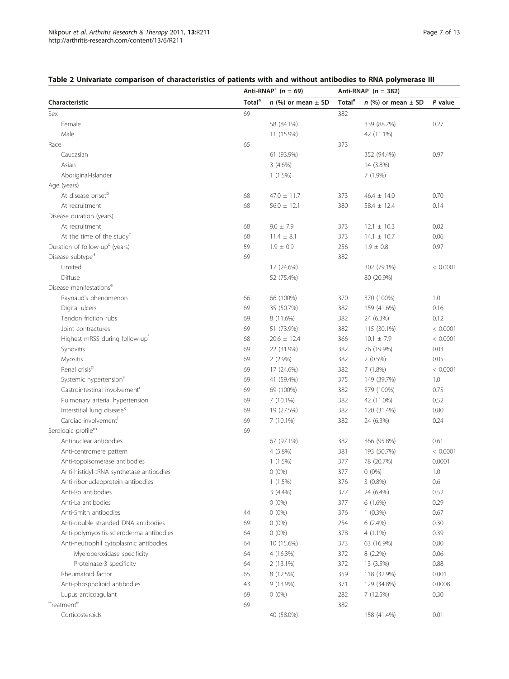# <span id="page-6-0"></span>Table 2 Univariate comparison of characteristics of patients with and without antibodies to RNA polymerase III

|                                              |                           | Anti-RNAP <sup>+</sup> ( $n = 69$ ) |                           | Anti-RNAP $(n = 382)$    |          |
|----------------------------------------------|---------------------------|-------------------------------------|---------------------------|--------------------------|----------|
| Characteristic                               | <b>Total</b> <sup>a</sup> | $n$ (%) or mean $\pm$ SD            | <b>Total</b> <sup>a</sup> | $n$ (%) or mean $\pm$ SD | P value  |
| Sex                                          | 69                        |                                     | 382                       |                          |          |
| Female                                       |                           | 58 (84.1%)                          |                           | 339 (88.7%)              | 0.27     |
| Male                                         |                           | 11 (15.9%)                          |                           | 42 (11.1%)               |          |
| Race                                         | 65                        |                                     | 373                       |                          |          |
| Caucasian                                    |                           | 61 (93.9%)                          |                           | 352 (94.4%)              | 0.97     |
| Asian                                        |                           | 3(4.6%)                             |                           | 14 (3.8%)                |          |
| Aboriginal-Islander                          |                           | $1(1.5\%)$                          |                           | $7(1.9\%)$               |          |
| Age (years)                                  |                           |                                     |                           |                          |          |
| At disease onset <sup>b</sup>                | 68                        | $47.0 \pm 11.7$                     | 373                       | $46.4 \pm 14.0$          | 0.70     |
| At recruitment                               | 68                        | $56.0 \pm 12.1$                     | 380                       | $58.4 \pm 12.4$          | 0.14     |
| Disease duration (years)                     |                           |                                     |                           |                          |          |
| At recruitment                               | 68                        | $9.0 \pm 7.9$                       | 373                       | $12.1 \pm 10.3$          | 0.02     |
| At the time of the study <sup>c</sup>        | 68                        | $11.4 \pm 8.1$                      | 373                       | $14.1 \pm 10.7$          | 0.06     |
| Duration of follow-up <sup>c</sup> (years)   | 59                        | $1.9 \pm 0.9$                       | 256                       | $1.9 \pm 0.8$            | 0.97     |
| Disease subtype <sup>d</sup>                 | 69                        |                                     | 382                       |                          |          |
| Limited                                      |                           | 17 (24.6%)                          |                           | 302 (79.1%)              | < 0.0001 |
| Diffuse                                      |                           | 52 (75.4%)                          |                           | 80 (20.9%)               |          |
| Disease manifestations <sup>e</sup>          |                           |                                     |                           |                          |          |
| Raynaud's phenomenon                         | 66                        | 66 (100%)                           | 370                       | 370 (100%)               | 1.0      |
| Digital ulcers                               | 69                        | 35 (50.7%)                          | 382                       | 159 (41.6%)              | 0.16     |
| Tendon friction rubs                         | 69                        | 8 (11.6%)                           | 382                       | 24 (6.3%)                | 0.12     |
| Joint contractures                           | 69                        | 51 (73.9%)                          | 382                       | 115 (30.1%)              | < 0.0001 |
| Highest mRSS during follow-up <sup>t</sup>   | 68                        | $20.6 \pm 12.4$                     | 366                       | $10.1 \pm 7.9$           | < 0.0001 |
| Synovitis                                    | 69                        | 22 (31.9%)                          | 382                       | 76 (19.9%)               | 0.03     |
| Myositis                                     | 69                        | $2(2.9\%)$                          | 382                       | $2(0.5\%)$               | 0.05     |
| Renal crisis <sup>9</sup>                    | 69                        | 17 (24.6%)                          | 382                       | 7 (1.8%)                 | < 0.0001 |
| Systemic hypertension <sup>h</sup>           | 69                        | 41 (59.4%)                          | 375                       | 149 (39.7%)              | 1.0      |
| Gastrointestinal involvement <sup>1</sup>    | 69                        | 69 (100%)                           | 382                       | 379 (100%)               | 0.75     |
| Pulmonary arterial hypertension <sup>J</sup> | 69                        | $7(10.1\%)$                         | 382                       | 42 (11.0%)               | 0.52     |
| Interstitial lung diseasek                   | 69                        | 19 (27.5%)                          | 382                       | 120 (31.4%)              | 0.80     |
| Cardiac involvement                          | 69                        | $7(10.1\%)$                         | 382                       | 24 (6.3%)                | 0.24     |
| Serologic profile <sup>m</sup>               | 69                        |                                     |                           |                          |          |
| Antinuclear antibodies                       |                           | 67 (97.1%)                          | 382                       | 366 (95.8%)              | 0.61     |
| Anti-centromere pattern                      |                           | 4 (5.8%)                            | 381                       | 193 (50.7%)              | < 0.0001 |
| Anti-topoisomerase antibodies                |                           | $1(1.5\%)$                          | 377                       | 78 (20.7%)               | 0.0001   |
| Anti-histidyl-tRNA synthetase antibodies     |                           | $0(0\%)$                            | 377                       | $0(0\%)$                 | 1.0      |
| Anti-ribonucleoprotein antibodies            |                           | $1(1.5\%)$                          | 376                       | $3(0.8\%)$               | 0.6      |
| Anti-Ro antibodies                           |                           | $3(4.4\%)$                          | 377                       | 24 (6.4%)                | 0.52     |
| Anti-La antibodies                           |                           | $0(0\%)$                            | 377                       | $6(1.6\%)$               | 0.29     |
| Anti-Smith antibodies                        | 44                        | $0(0\%)$                            | 376                       | $1(0.3\%)$               | 0.67     |
| Anti-double stranded DNA antibodies          | 69                        | $0(0\%)$                            | 254                       | $6(2.4\%)$               | 0.30     |
| Anti-polymyositis-scleroderma antibodies     | 64                        | $0(0\%)$                            | 378                       | $4(1.1\%)$               | 0.39     |
| Anti-neutrophil cytoplasmic antibodies       | 64                        | 10 (15.6%)                          | 373                       | 63 (16.9%)               | 0.80     |
| Myeloperoxidase specificity                  | 64                        | 4 (16.3%)                           | 372                       | $8(2.2\%)$               | 0.06     |
| Proteinase-3 specificity                     | 64                        | 2 (13.1%)                           | 372                       | 13 (3.5%)                | 0.88     |
| Rheumatoid factor                            | 65                        | 8 (12.5%)                           | 359                       | 118 (32.9%)              | 0.001    |
| Anti-phospholipid antibodies                 | 43                        | 9 (13.9%)                           | 371                       | 129 (34.8%)              | 0.0008   |
| Lupus anticoagulant                          | 69                        | $0(0\%)$                            | 282                       | 7 (12.5%)                | 0.30     |
| Treatmente                                   | 69                        |                                     | 382                       |                          |          |
| Corticosteroids                              |                           | 40 (58.0%)                          |                           | 158 (41.4%)              | 0.01     |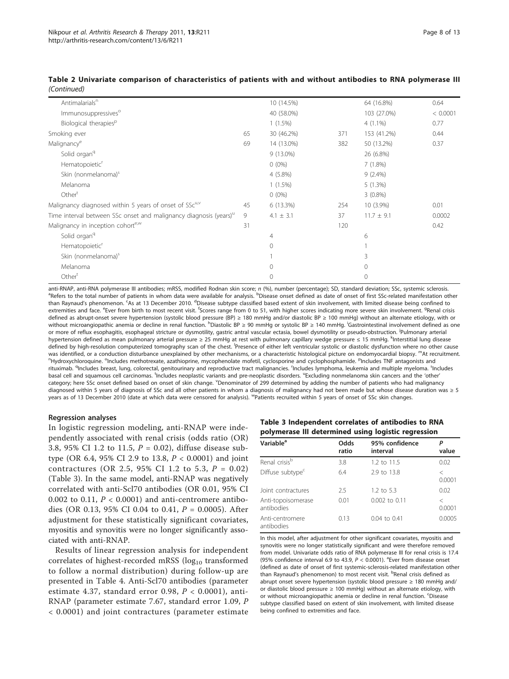| Table 2 Univariate comparison of characteristics of patients with and without antibodies to RNA polymerase III |  |  |  |  |
|----------------------------------------------------------------------------------------------------------------|--|--|--|--|
| (Continued)                                                                                                    |  |  |  |  |

| Antimalarials <sup>n</sup>                                                    |    | 10 (14.5%)     |     | 64 (16.8%)     | 0.64     |
|-------------------------------------------------------------------------------|----|----------------|-----|----------------|----------|
| Immunosuppressives <sup>o</sup>                                               |    | 40 (58.0%)     |     | 103 (27.0%)    | < 0.0001 |
| Biological therapies <sup>p</sup>                                             |    | $1(1.5\%)$     |     | $4(1.1\%)$     | 0.77     |
| Smoking ever                                                                  | 65 | 30 (46.2%)     | 371 | 153 (41.2%)    | 0.44     |
| Malignancy <sup>e</sup>                                                       | 69 | 14 (13.0%)     | 382 | 50 (13.2%)     | 0.37     |
| Solid organ <sup>q</sup>                                                      |    | $9(13.0\%)$    |     | 26 (6.8%)      |          |
| Hematopoietic <sup>r</sup>                                                    |    | $0(0\%)$       |     | $7(1.8\%)$     |          |
| Skin (nonmelanoma) <sup>s</sup>                                               |    | $4(5.8\%)$     |     | $9(2.4\%)$     |          |
| Melanoma                                                                      |    | $1(1.5\%)$     |     | 5(1.3%)        |          |
| Other <sup>t</sup>                                                            |    | $0(0\%)$       |     | $3(0.8\%)$     |          |
| Malignancy diagnosed within 5 years of onset of SSc <sup>u,v</sup>            | 45 | 6(13.3%)       | 254 | 10 (3.9%)      | 0.01     |
| Time interval between SSc onset and malignancy diagnosis (years) <sup>u</sup> | 9  | 4.1 $\pm$ 3.1  | 37  | $11.7 \pm 9.1$ | 0.0002   |
| Malignancy in inception cohort <sup>e,w</sup>                                 | 31 |                | 120 |                | 0.42     |
| Solid organ <sup>q</sup>                                                      |    | $\overline{4}$ |     | 6              |          |
| Hematopoietic <sup>r</sup>                                                    |    | $\Omega$       |     |                |          |
| Skin (nonmelanoma) <sup>s</sup>                                               |    |                |     | 3              |          |
| Melanoma                                                                      |    | $\Omega$       |     | $\Omega$       |          |
| Other <sup>t</sup>                                                            |    | 0              |     | $\circ$        |          |

anti-RNAP, anti-RNA polymerase III antibodies; mRSS, modified Rodnan skin score; n (%), number (percentage); SD, standard deviation; SSc, systemic sclerosis. Refers to the total number of patients in whom data were available for analysis. <sup>b</sup>Disease onset defined as date of onset of first SSc-related manifestation other than Raynaud's phenomenon. <sup>c</sup>As at 13 December 2010. <sup>d</sup>Disease subtype classified based extent of skin involvement, with limited disease being confined to extremities and face. <sup>e</sup>Ever from birth to most recent visit. <sup>f</sup>Scores range from 0 to 51, with higher scores indicating more severe skin involvement. <sup>9</sup>Renal crisis defined as abrupt-onset severe hypertension (systolic blood pressure (BP) ≥ 180 mmHg and/or diastolic BP ≥ 100 mmHg) without an alternate etiology, with or without microangiopathic anemia or decline in renal function. <sup>h</sup>Diastolic BP ≥ 90 mmHg or systolic BP ≥ 140 mmHg. <sup>i</sup>Gastrointestinal involvement defined as one or more of reflux esophagitis, esophageal stricture or dysmotility, gastric antral vascular ectasia, bowel dysmotility or pseudo-obstruction. <sup>j</sup>Pulmonary arterial hypertension defined as mean pulmonary arterial pressure ≥ 25 mmHg at rest with pulmonary capillary wedge pressure ≤ 15 mmHg. <sup>k</sup>Interstitial lung disease defined by high-resolution computerized tomography scan of the chest. <sup>l</sup> Presence of either left ventricular systolic or diastolic dysfunction where no other cause was identified, or a conduction disturbance unexplained by other mechanisms, or a characteristic histological picture on endomyocardial biopsy. "At recruitment. Hydroxychloroquine. <sup>o</sup>Includes methotrexate, azathioprine, mycophenolate mofetil, cyclosporine and cyclophosphamide. <sup>P</sup>Includes TNF antagonists and rituximab. <sup>q</sup>includes breast, lung, colorectal, genitourinary and reproductive tract malignancies. <sup>r</sup>includes lymphoma, leukemia and multiple myeloma. <sup>s</sup>includes basal cell and squamous cell carcinomas. <sup>t</sup>includes neoplastic variants and pre-neoplastic disorders. <sup>u</sup>Excluding nonmelanoma skin cancers and the 'other category; here SSc onset defined based on onset of skin change. <sup>v</sup>Denominator of 299 determined by adding the number of patients who had malignancy diagnosed within 5 years of diagnosis of SSc and all other patients in whom a diagnosis of malignancy had not been made but whose disease duration was ≥ 5 years as of 13 December 2010 (date at which data were censored for analysis). "Patients recruited within 5 years of onset of SSc skin changes.

#### Regression analyses

In logistic regression modeling, anti-RNAP were independently associated with renal crisis (odds ratio (OR) 3.8, 95% CI 1.2 to 11.5,  $P = 0.02$ ), diffuse disease subtype (OR 6.4, 95% CI 2.9 to 13.8, P < 0.0001) and joint contractures (OR 2.5, 95% CI 1.2 to 5.3,  $P = 0.02$ ) (Table 3). In the same model, anti-RNAP was negatively correlated with anti-Scl70 antibodies (OR 0.01, 95% CI 0.002 to 0.11,  $P < 0.0001$ ) and anti-centromere antibodies (OR 0.13, 95% CI 0.04 to 0.41,  $P = 0.0005$ ). After adjustment for these statistically significant covariates, myositis and synovitis were no longer significantly associated with anti-RNAP.

Results of linear regression analysis for independent correlates of highest-recorded mRSS ( $log_{10}$  transformed to follow a normal distribution) during follow-up are presented in Table [4.](#page-8-0) Anti-Scl70 antibodies (parameter estimate 4.37, standard error 0.98,  $P < 0.0001$ ), anti-RNAP (parameter estimate 7.67, standard error 1.09, P < 0.0001) and joint contractures (parameter estimate

# Table 3 Independent correlates of antibodies to RNA polymerase III determined using logistic regression

| Variable <sup>a</sup>            | Odds<br>ratio | 95% confidence<br>interval | Ρ<br>value        |
|----------------------------------|---------------|----------------------------|-------------------|
| Renal crisis <sup>b</sup>        | 3.8           | 1.2 to 11.5                | 0.02              |
| Diffuse subtype <sup>c</sup>     | 6.4           | 2.9 to 13.8                | $\,<\,$<br>0.0001 |
| Joint contractures               | 2.5           | $1.2$ to $5.3$             | 0.02              |
| Anti-topoisomerase<br>antibodies | 0.01          | 0.002 to 0.11              | $\,<\,$<br>0.0001 |
| Anti-centromere<br>antibodies    | 0.13          | $0.04$ to $0.41$           | 0.0005            |

In this model, after adjustment for other significant covariates, myositis and synovitis were no longer statistically significant and were therefore removed from model. Univariate odds ratio of RNA polymerase III for renal crisis is 17.4 (95% confidence interval 6.9 to 43.9,  $P < 0.0001$ ). <sup>a</sup> Ever from disease onset (defined as date of onset of first systemic-sclerosis-related manifestation other than Raynaud's phenomenon) to most recent visit. <sup>b</sup>Renal crisis defined as abrupt onset severe hypertension (systolic blood pressure ≥ 180 mmHg and/ or diastolic blood pressure  $\geq 100$  mmHg) without an alternate etiology, with or without microangiopathic anemia or decline in renal function. <sup>c</sup>Disease subtype classified based on extent of skin involvement, with limited disease being confined to extremities and face.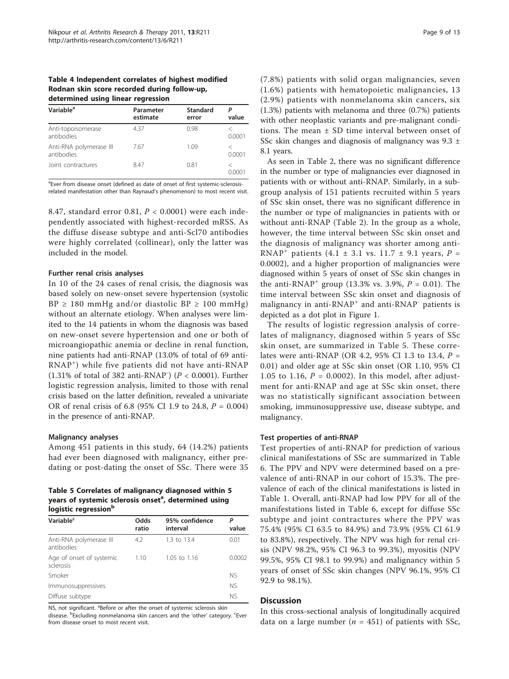<span id="page-8-0"></span>Table 4 Independent correlates of highest modified Rodnan skin score recorded during follow-up, determined using linear regression

| Variable <sup>a</sup>                 | Parameter<br>estimate | <b>Standard</b><br>error | P<br>value  |
|---------------------------------------|-----------------------|--------------------------|-------------|
| Anti-topoisomerase<br>antibodies      | 4.37                  | 0.98                     | 0.0001      |
| Anti-RNA polymerase III<br>antibodies | 7.67                  | 1.09                     | <<br>0.0001 |
| Joint contractures                    | 8.47                  | 0.81                     | 0.0001      |

<sup>a</sup>Ever from disease onset (defined as date of onset of first systemic-sclerosisrelated manifestation other than Raynaud's phenomenon) to most recent visit.

8.47, standard error 0.81,  $P < 0.0001$ ) were each independently associated with highest-recorded mRSS. As the diffuse disease subtype and anti-Scl70 antibodies were highly correlated (collinear), only the latter was included in the model.

# Further renal crisis analyses

In 10 of the 24 cases of renal crisis, the diagnosis was based solely on new-onset severe hypertension (systolic  $BP \geq 180$  mmHg and/or diastolic  $BP \geq 100$  mmHg) without an alternate etiology. When analyses were limited to the 14 patients in whom the diagnosis was based on new-onset severe hypertension and one or both of microangiopathic anemia or decline in renal function, nine patients had anti-RNAP (13.0% of total of 69 anti-RNAP<sup>+</sup> ) while five patients did not have anti-RNAP  $(1.31\%$  of total of 382 anti-RNAP<sup>-</sup>) ( $P < 0.0001$ ). Further logistic regression analysis, limited to those with renal crisis based on the latter definition, revealed a univariate OR of renal crisis of 6.8 (95% CI 1.9 to 24.8,  $P = 0.004$ ) in the presence of anti-RNAP.

# Malignancy analyses

Among 451 patients in this study, 64 (14.2%) patients had ever been diagnosed with malignancy, either predating or post-dating the onset of SSc. There were 35

Table 5 Correlates of malignancy diagnosed within 5 years of systemic sclerosis onset<sup>a</sup>, determined using logistic regression<sup>b</sup>

| Variable <sup>c</sup>                 | Odds<br>ratio | 95% confidence<br>interval | Р<br>value |
|---------------------------------------|---------------|----------------------------|------------|
| Anti-RNA polymerase III<br>antibodies | 4.2           | 1.3 to 13.4                | 0.01       |
| Age of onset of systemic<br>sclerosis | 1.10          | 1.05 to 1.16               | 0.0002     |
| Smoker                                |               |                            | <b>NS</b>  |
| Immunosuppressives                    |               |                            | <b>NS</b>  |
| Diffuse subtype                       |               |                            | <b>NS</b>  |
|                                       |               |                            |            |

NS, not significant. <sup>a</sup>Before or after the onset of systemic sclerosis skin disease. <sup>b</sup>Excluding nonmelanoma skin cancers and the 'other' category. <sup>c</sup>Ever from disease onset to most recent visit.

(7.8%) patients with solid organ malignancies, seven (1.6%) patients with hematopoietic malignancies, 13 (2.9%) patients with nonmelanoma skin cancers, six (1.3%) patients with melanoma and three (0.7%) patients with other neoplastic variants and pre-malignant conditions. The mean  $\pm$  SD time interval between onset of SSc skin changes and diagnosis of malignancy was  $9.3 \pm$ 8.1 years.

As seen in Table [2,](#page-6-0) there was no significant difference in the number or type of malignancies ever diagnosed in patients with or without anti-RNAP. Similarly, in a subgroup analysis of 151 patients recruited within 5 years of SSc skin onset, there was no significant difference in the number or type of malignancies in patients with or without anti-RNAP (Table [2\)](#page-6-0). In the group as a whole, however, the time interval between SSc skin onset and the diagnosis of malignancy was shorter among anti-RNAP<sup>+</sup> patients (4.1  $\pm$  3.1 vs. 11.7  $\pm$  9.1 years, P = 0.0002), and a higher proportion of malignancies were diagnosed within 5 years of onset of SSc skin changes in the anti-RNAP<sup>+</sup> group (13.3% vs. 3.9%,  $P = 0.01$ ). The time interval between SSc skin onset and diagnosis of malignancy in anti- $RNAP^+$  and anti- $RNAP^-$  patients is depicted as a dot plot in Figure [1](#page-3-0).

The results of logistic regression analysis of correlates of malignancy, diagnosed within 5 years of SSc skin onset, are summarized in Table 5. These correlates were anti-RNAP (OR 4.2, 95% CI 1.3 to 13.4,  $P =$ 0.01) and older age at SSc skin onset (OR 1.10, 95% CI 1.05 to 1.16,  $P = 0.0002$ ). In this model, after adjustment for anti-RNAP and age at SSc skin onset, there was no statistically significant association between smoking, immunosuppressive use, disease subtype, and malignancy.

# Test properties of anti-RNAP

Test properties of anti-RNAP for prediction of various clinical manifestations of SSc are summarized in Table [6.](#page-9-0) The PPV and NPV were determined based on a prevalence of anti-RNAP in our cohort of 15.3%. The prevalence of each of the clinical manifestations is listed in Table [1.](#page-4-0) Overall, anti-RNAP had low PPV for all of the manifestations listed in Table [6](#page-9-0), except for diffuse SSc subtype and joint contractures where the PPV was 75.4% (95% CI 63.5 to 84.9%) and 73.9% (95% CI 61.9 to 83.8%), respectively. The NPV was high for renal crisis (NPV 98.2%, 95% CI 96.3 to 99.3%), myositis (NPV 99.5%, 95% CI 98.1 to 99.9%) and malignancy within 5 years of onset of SSc skin changes (NPV 96.1%, 95% CI 92.9 to 98.1%).

# **Discussion**

In this cross-sectional analysis of longitudinally acquired data on a large number ( $n = 451$ ) of patients with SSc,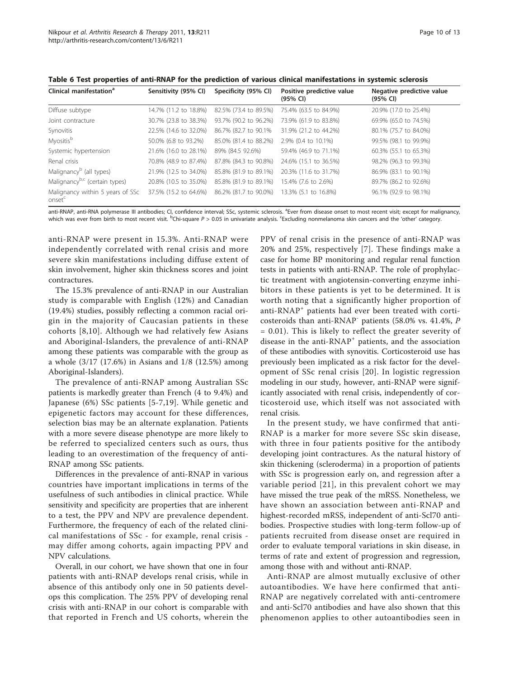<span id="page-9-0"></span>

|  | Table 6 Test properties of anti-RNAP for the prediction of various clinical manifestations in systemic sclerosis |  |
|--|------------------------------------------------------------------------------------------------------------------|--|
|--|------------------------------------------------------------------------------------------------------------------|--|

| Clinical manifestation <sup>a</sup>                    | Sensitivity (95% CI)  | Specificity (95% CI)  | Positive predictive value<br>(95% CI) | Negative predictive value<br>(95% CI) |
|--------------------------------------------------------|-----------------------|-----------------------|---------------------------------------|---------------------------------------|
| Diffuse subtype                                        | 14.7% (11.2 to 18.8%) | 82.5% (73.4 to 89.5%) | 75.4% (63.5 to 84.9%)                 | 20.9% (17.0 to 25.4%)                 |
| Joint contracture                                      | 30.7% (23.8 to 38.3%) | 93.7% (90.2 to 96.2%) | 73.9% (61.9 to 83.8%)                 | 69.9% (65.0 to 74.5%)                 |
| Synovitis                                              | 22.5% (14.6 to 32.0%) | 86.7% (82.7 to 90.1%) | 31.9% (21.2 to 44.2%)                 | 80.1% (75.7 to 84.0%)                 |
| Myositisb                                              | 50.0% (6.8 to 93.2%)  | 85.0% (81.4 to 88.2%) | 2.9% (0.4 to 10.1%)                   | 99.5% (98.1 to 99.9%)                 |
| Systemic hypertension                                  | 21.6% (16.0 to 28.1%) | 89% (84.5 92.6%)      | 59.4% (46.9 to 71.1%)                 | 60.3% (55.1 to 65.3%)                 |
| Renal crisis                                           | 70.8% (48.9 to 87.4%) | 87.8% (84.3 to 90.8%) | 24.6% (15.1 to 36.5%)                 | 98.2% (96.3 to 99.3%)                 |
| Malignancy <sup>b</sup> (all types)                    | 21.9% (12.5 to 34.0%) | 85.8% (81.9 to 89.1%) | 20.3% (11.6 to 31.7%)                 | 86.9% (83.1 to 90.1%)                 |
| Malignancy <sup>b,c</sup> (certain types)              | 20.8% (10.5 to 35.0%) | 85.8% (81.9 to 89.1%) | 15.4% (7.6 to 2.6%)                   | 89.7% (86.2 to 92.6%)                 |
| Malignancy within 5 years of SSc<br>onset <sup>c</sup> | 37.5% (15.2 to 64.6%) | 86.2% (81.7 to 90.0%) | 13.3% (5.1 to 16.8%)                  | 96.1% (92.9 to 98.1%)                 |

anti-RNAP, anti-RNA polymerase III antibodies; CI, confidence interval; SSc, systemic sclerosis. <sup>a</sup>Ever from disease onset to most recent visit; except for malignancy which was ever from birth to most recent visit.  $^{\rm b}$ Chi-square P > 0.05 in univariate analysis. <sup>c</sup>Excluding nonmelanoma skin cancers and the 'other' category.

anti-RNAP were present in 15.3%. Anti-RNAP were independently correlated with renal crisis and more severe skin manifestations including diffuse extent of skin involvement, higher skin thickness scores and joint contractures.

The 15.3% prevalence of anti-RNAP in our Australian study is comparable with English (12%) and Canadian (19.4%) studies, possibly reflecting a common racial origin in the majority of Caucasian patients in these cohorts [[8,10\]](#page-11-0). Although we had relatively few Asians and Aboriginal-Islanders, the prevalence of anti-RNAP among these patients was comparable with the group as a whole (3/17 (17.6%) in Asians and 1/8 (12.5%) among Aboriginal-Islanders).

The prevalence of anti-RNAP among Australian SSc patients is markedly greater than French (4 to 9.4%) and Japanese (6%) SSc patients [[5](#page-11-0)-[7,19\]](#page-11-0). While genetic and epigenetic factors may account for these differences, selection bias may be an alternate explanation. Patients with a more severe disease phenotype are more likely to be referred to specialized centers such as ours, thus leading to an overestimation of the frequency of anti-RNAP among SSc patients.

Differences in the prevalence of anti-RNAP in various countries have important implications in terms of the usefulness of such antibodies in clinical practice. While sensitivity and specificity are properties that are inherent to a test, the PPV and NPV are prevalence dependent. Furthermore, the frequency of each of the related clinical manifestations of SSc - for example, renal crisis may differ among cohorts, again impacting PPV and NPV calculations.

Overall, in our cohort, we have shown that one in four patients with anti-RNAP develops renal crisis, while in absence of this antibody only one in 50 patients develops this complication. The 25% PPV of developing renal crisis with anti-RNAP in our cohort is comparable with that reported in French and US cohorts, wherein the

PPV of renal crisis in the presence of anti-RNAP was 20% and 25%, respectively [[7](#page-11-0)]. These findings make a case for home BP monitoring and regular renal function tests in patients with anti-RNAP. The role of prophylactic treatment with angiotensin-converting enzyme inhibitors in these patients is yet to be determined. It is worth noting that a significantly higher proportion of anti-RNAP<sup>+</sup> patients had ever been treated with corticosteroids than anti-RNAP<sup>-</sup> patients (58.0% vs. 41.4%, P = 0.01). This is likely to reflect the greater severity of disease in the anti-RNAP<sup>+</sup> patients, and the association of these antibodies with synovitis. Corticosteroid use has previously been implicated as a risk factor for the development of SSc renal crisis [[20\]](#page-12-0). In logistic regression modeling in our study, however, anti-RNAP were significantly associated with renal crisis, independently of corticosteroid use, which itself was not associated with renal crisis.

In the present study, we have confirmed that anti-RNAP is a marker for more severe SSc skin disease, with three in four patients positive for the antibody developing joint contractures. As the natural history of skin thickening (scleroderma) in a proportion of patients with SSc is progression early on, and regression after a variable period [\[21\]](#page-12-0), in this prevalent cohort we may have missed the true peak of the mRSS. Nonetheless, we have shown an association between anti-RNAP and highest-recorded mRSS, independent of anti-Scl70 antibodies. Prospective studies with long-term follow-up of patients recruited from disease onset are required in order to evaluate temporal variations in skin disease, in terms of rate and extent of progression and regression, among those with and without anti-RNAP.

Anti-RNAP are almost mutually exclusive of other autoantibodies. We have here confirmed that anti-RNAP are negatively correlated with anti-centromere and anti-Scl70 antibodies and have also shown that this phenomenon applies to other autoantibodies seen in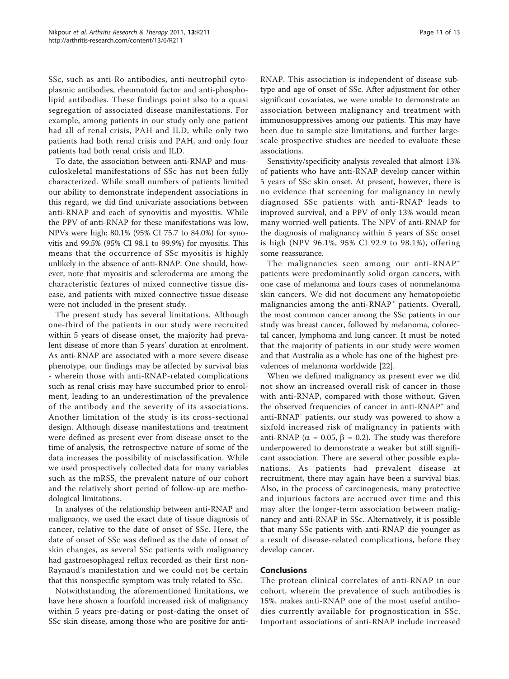SSc, such as anti-Ro antibodies, anti-neutrophil cytoplasmic antibodies, rheumatoid factor and anti-phospholipid antibodies. These findings point also to a quasi segregation of associated disease manifestations. For example, among patients in our study only one patient had all of renal crisis, PAH and ILD, while only two patients had both renal crisis and PAH, and only four patients had both renal crisis and ILD.

To date, the association between anti-RNAP and musculoskeletal manifestations of SSc has not been fully characterized. While small numbers of patients limited our ability to demonstrate independent associations in this regard, we did find univariate associations between anti-RNAP and each of synovitis and myositis. While the PPV of anti-RNAP for these manifestations was low, NPVs were high: 80.1% (95% CI 75.7 to 84.0%) for synovitis and 99.5% (95% CI 98.1 to 99.9%) for myositis. This means that the occurrence of SSc myositis is highly unlikely in the absence of anti-RNAP. One should, however, note that myositis and scleroderma are among the characteristic features of mixed connective tissue disease, and patients with mixed connective tissue disease were not included in the present study.

The present study has several limitations. Although one-third of the patients in our study were recruited within 5 years of disease onset, the majority had prevalent disease of more than 5 years' duration at enrolment. As anti-RNAP are associated with a more severe disease phenotype, our findings may be affected by survival bias - wherein those with anti-RNAP-related complications such as renal crisis may have succumbed prior to enrolment, leading to an underestimation of the prevalence of the antibody and the severity of its associations. Another limitation of the study is its cross-sectional design. Although disease manifestations and treatment were defined as present ever from disease onset to the time of analysis, the retrospective nature of some of the data increases the possibility of misclassification. While we used prospectively collected data for many variables such as the mRSS, the prevalent nature of our cohort and the relatively short period of follow-up are methodological limitations.

In analyses of the relationship between anti-RNAP and malignancy, we used the exact date of tissue diagnosis of cancer, relative to the date of onset of SSc. Here, the date of onset of SSc was defined as the date of onset of skin changes, as several SSc patients with malignancy had gastroesophageal reflux recorded as their first non-Raynaud's manifestation and we could not be certain that this nonspecific symptom was truly related to SSc.

Notwithstanding the aforementioned limitations, we have here shown a fourfold increased risk of malignancy within 5 years pre-dating or post-dating the onset of SSc skin disease, among those who are positive for antiRNAP. This association is independent of disease subtype and age of onset of SSc. After adjustment for other significant covariates, we were unable to demonstrate an association between malignancy and treatment with immunosuppressives among our patients. This may have been due to sample size limitations, and further largescale prospective studies are needed to evaluate these associations.

Sensitivity/specificity analysis revealed that almost 13% of patients who have anti-RNAP develop cancer within 5 years of SSc skin onset. At present, however, there is no evidence that screening for malignancy in newly diagnosed SSc patients with anti-RNAP leads to improved survival, and a PPV of only 13% would mean many worried-well patients. The NPV of anti-RNAP for the diagnosis of malignancy within 5 years of SSc onset is high (NPV 96.1%, 95% CI 92.9 to 98.1%), offering some reassurance.

The malignancies seen among our anti-RNAP<sup>+</sup> patients were predominantly solid organ cancers, with one case of melanoma and fours cases of nonmelanoma skin cancers. We did not document any hematopoietic malignancies among the anti- $RNAP^+$  patients. Overall, the most common cancer among the SSc patients in our study was breast cancer, followed by melanoma, colorectal cancer, lymphoma and lung cancer. It must be noted that the majority of patients in our study were women and that Australia as a whole has one of the highest prevalences of melanoma worldwide [\[22\]](#page-12-0).

When we defined malignancy as present ever we did not show an increased overall risk of cancer in those with anti-RNAP, compared with those without. Given the observed frequencies of cancer in anti- $\text{RNAP}^+$  and anti-RNAP<sup>-</sup> patients, our study was powered to show a sixfold increased risk of malignancy in patients with anti-RNAP ( $\alpha$  = 0.05,  $\beta$  = 0.2). The study was therefore underpowered to demonstrate a weaker but still significant association. There are several other possible explanations. As patients had prevalent disease at recruitment, there may again have been a survival bias. Also, in the process of carcinogenesis, many protective and injurious factors are accrued over time and this may alter the longer-term association between malignancy and anti-RNAP in SSc. Alternatively, it is possible that many SSc patients with anti-RNAP die younger as a result of disease-related complications, before they develop cancer.

# Conclusions

The protean clinical correlates of anti-RNAP in our cohort, wherein the prevalence of such antibodies is 15%, makes anti-RNAP one of the most useful antibodies currently available for prognostication in SSc. Important associations of anti-RNAP include increased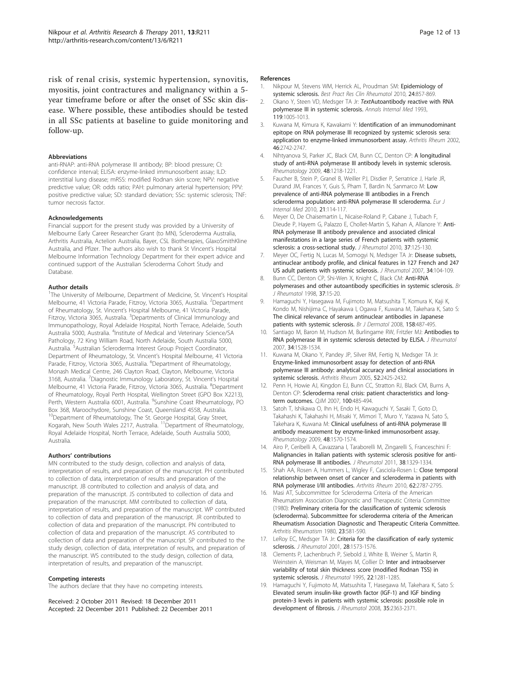<span id="page-11-0"></span>risk of renal crisis, systemic hypertension, synovitis, myositis, joint contractures and malignancy within a 5 year timeframe before or after the onset of SSc skin disease. Where possible, these antibodies should be tested in all SSc patients at baseline to guide monitoring and follow-up.

#### **Abbreviations**

anti-RNAP: anti-RNA polymerase III antibody; BP: blood pressure; CI: confidence interval; ELISA: enzyme-linked immunosorbent assay; ILD: interstitial lung disease; mRSS: modified Rodnan skin score; NPV: negative predictive value; OR: odds ratio; PAH: pulmonary arterial hypertension; PPV: positive predictive value; SD: standard deviation; SSc: systemic sclerosis; TNF: tumor necrosis factor.

#### Acknowledgements

Financial support for the present study was provided by a University of Melbourne Early Career Researcher Grant (to MN), Scleroderma Australia, Arthritis Australia, Actelion Australia, Bayer, CSL Biotherapies, GlaxoSmithKline Australia, and Pfizer. The authors also wish to thank St Vincent's Hospital Melbourne Information Technology Department for their expert advice and continued support of the Australian Scleroderma Cohort Study and Database.

#### Author details

<sup>1</sup>The University of Melbourne, Department of Medicine, St. Vincent's Hospital Melbourne, 41 Victoria Parade, Fitzroy, Victoria 3065, Australia. <sup>2</sup>Department of Rheumatology, St. Vincent's Hospital Melbourne, 41 Victoria Parade, Fitzroy, Victoria 3065, Australia. <sup>3</sup>Departments of Clinical Immunology and Immunopathology, Royal Adelaide Hospital, North Terrace, Adelaide, South Australia 5000, Australia. <sup>4</sup>Institute of Medical and Veterinary Science/SA Pathology, 72 King William Road, North Adelaide, South Australia 5000, Australia. <sup>5</sup> Australian Scleroderma Interest Group Project Coordinator, Department of Rheumatology, St. Vincent's Hospital Melbourne, 41 Victoria Parade, Fitzroy, Victoria 3065, Australia. <sup>6</sup>Department of Rheumatology, Monash Medical Centre, 246 Clayton Road, Clayton, Melbourne, Victoria 3168, Australia. <sup>7</sup>Diagnostic Immunology Laboratory, St. Vincent's Hospital Melbourne, 41 Victoria Parade, Fitzroy, Victoria 3065, Australia. <sup>8</sup>Department of Rheumatology, Royal Perth Hospital, Wellington Street (GPO Box X2213),<br>Perth, Western Australia 6001, Australia. <sup>9</sup>Sunshine Coast Rheumatology, PO Box 368, Maroochydore, Sunshine Coast, Queensland 4558, Australia. <sup>10</sup>Department of Rheumatology, The St. George Hospital, Gray Street, Kogarah, New South Wales 2217, Australia. <sup>11</sup>Department of Rheumatology, Royal Adelaide Hospital, North Terrace, Adelaide, South Australia 5000, Australia.

#### Authors' contributions

MN contributed to the study design, collection and analysis of data, interpretation of results, and preparation of the manuscript. PH contributed to collection of data, interpretation of results and preparation of the manuscript. JB contributed to collection and analysis of data, and preparation of the manuscript. JS contributed to collection of data and preparation of the manuscript. MM contributed to collection of data, interpretation of results, and preparation of the manuscript. WP contributed to collection of data and preparation of the manuscript. JR contributed to collection of data and preparation of the manuscript. PN contributed to collection of data and preparation of the manuscript. AS contributed to collection of data and preparation of the manuscript. SP contributed to the study design, collection of data, interpretation of results, and preparation of the manuscript. WS contributed to the study design, collection of data, interpretation of results, and preparation of the manuscript.

#### Competing interests

The authors declare that they have no competing interests.

Received: 2 October 2011 Revised: 18 December 2011 Accepted: 22 December 2011 Published: 22 December 2011

#### References

- 1. Nikpour M, Stevens WM, Herrick AL, Proudman SM: [Epidemiology of](http://www.ncbi.nlm.nih.gov/pubmed/21665131?dopt=Abstract) [systemic sclerosis.](http://www.ncbi.nlm.nih.gov/pubmed/21665131?dopt=Abstract) Best Pract Res Clin Rheumatol 2010, 24:857-869.
- 2. Okano Y, Steen VD, Medsger TA Jr: TextAutoantibody reactive with RNA polymerase III in systemic sclerosis. Annals Internal Med 1993, 119:1005-1013.
- Kuwana M, Kimura K, Kawakami Y: [Identification of an immunodominant](http://www.ncbi.nlm.nih.gov/pubmed/12384934?dopt=Abstract) [epitope on RNA polymerase III recognized by systemic sclerosis sera:](http://www.ncbi.nlm.nih.gov/pubmed/12384934?dopt=Abstract) [application to enzyme-linked immunosorbent assay.](http://www.ncbi.nlm.nih.gov/pubmed/12384934?dopt=Abstract) Arthritis Rheum 2002, 46:2742-2747.
- 4. Nihtyanova SI, Parker JC, Black CM, Bunn CC, Denton CP: [A longitudinal](http://www.ncbi.nlm.nih.gov/pubmed/19696067?dopt=Abstract) [study of anti-RNA polymerase III antibody levels in systemic sclerosis.](http://www.ncbi.nlm.nih.gov/pubmed/19696067?dopt=Abstract) Rheumatology 2009, 48:1218-1221.
- 5. Faucher B, Stein P, Granel B, Weiller PJ, Disdier P, Serratrice J, Harle JR, Durand JM, Frances Y, Guis S, Pham T, Bardin N, Sanmarco M: Low prevalence of anti-RNA polymerase III antibodies in a French scleroderma population: anti-RNA polymerase III scleroderma. Eur J Internal Med 2010, 21:114-117.
- 6. Meyer O, De Chaisemartin L, Nicaise-Roland P, Cabane J, Tubach F, Dieude P, Hayem G, Palazzo E, Chollet-Martin S, Kahan A, Allanore Y: [Anti-](http://www.ncbi.nlm.nih.gov/pubmed/19918031?dopt=Abstract)[RNA polymerase III antibody prevalence and associated clinical](http://www.ncbi.nlm.nih.gov/pubmed/19918031?dopt=Abstract) [manifestations in a large series of French patients with systemic](http://www.ncbi.nlm.nih.gov/pubmed/19918031?dopt=Abstract) [sclerosis: a cross-sectional study.](http://www.ncbi.nlm.nih.gov/pubmed/19918031?dopt=Abstract) J Rheumatol 2010, 37:125-130.
- 7. Meyer OC, Fertig N, Lucas M, Somogyi N, Medsger TA Jr: [Disease subsets,](http://www.ncbi.nlm.nih.gov/pubmed/17117486?dopt=Abstract) [antinuclear antibody profile, and clinical features in 127 French and 247](http://www.ncbi.nlm.nih.gov/pubmed/17117486?dopt=Abstract) [US adult patients with systemic sclerosis.](http://www.ncbi.nlm.nih.gov/pubmed/17117486?dopt=Abstract) J Rheumatol 2007, 34:104-109.
- 8. Bunn CC, Denton CP, Shi-Wen X, Knight C, Black CM: [Anti-RNA](http://www.ncbi.nlm.nih.gov/pubmed/9487245?dopt=Abstract) [polymerases and other autoantibody specificities in systemic sclerosis.](http://www.ncbi.nlm.nih.gov/pubmed/9487245?dopt=Abstract) Br J Rheumatol 1998, 37:15-20.
- 9. Hamaguchi Y, Hasegawa M, Fujimoto M, Matsushita T, Komura K, Kaji K, Kondo M, Nishijima C, Hayakawa I, Ogawa F, Kuwana M, Takehara K, Sato S: [The clinical relevance of serum antinuclear antibodies in Japanese](http://www.ncbi.nlm.nih.gov/pubmed/18205876?dopt=Abstract) [patients with systemic sclerosis.](http://www.ncbi.nlm.nih.gov/pubmed/18205876?dopt=Abstract) Br J Dermatol 2008, 158:487-495.
- 10. Santiago M, Baron M, Hudson M, Burlingame RW, Fritzler MJ: [Antibodies to](http://www.ncbi.nlm.nih.gov/pubmed/17610318?dopt=Abstract) [RNA polymerase III in systemic sclerosis detected by ELISA.](http://www.ncbi.nlm.nih.gov/pubmed/17610318?dopt=Abstract) J Rheumatol 2007, 34:1528-1534.
- 11. Kuwana M, Okano Y, Pandey JP, Silver RM, Fertig N, Medsger TA Jr: [Enzyme-linked immunosorbent assay for detection of anti-RNA](http://www.ncbi.nlm.nih.gov/pubmed/16052583?dopt=Abstract) [polymerase III antibody: analytical accuracy and clinical associations in](http://www.ncbi.nlm.nih.gov/pubmed/16052583?dopt=Abstract) [systemic sclerosis.](http://www.ncbi.nlm.nih.gov/pubmed/16052583?dopt=Abstract) Arthritis Rheum 2005, 52:2425-2432.
- 12. Penn H, Howie AJ, Kingdon EJ, Bunn CC, Stratton RJ, Black CM, Burns A, Denton CP: [Scleroderma renal crisis: patient characteristics and long](http://www.ncbi.nlm.nih.gov/pubmed/17601770?dopt=Abstract)[term outcomes.](http://www.ncbi.nlm.nih.gov/pubmed/17601770?dopt=Abstract) QJM 2007, 100:485-494.
- 13. Satoh T, Ishikawa O, Ihn H, Endo H, Kawaguchi Y, Sasaki T, Goto D, Takahashi K, Takahashi H, Misaki Y, Mimori T, Muro Y, Yazawa N, Sato S, Takehara K, Kuwana M: [Clinical usefulness of anti-RNA polymerase III](http://www.ncbi.nlm.nih.gov/pubmed/19808694?dopt=Abstract) [antibody measurement by enzyme-linked immunosorbent assay.](http://www.ncbi.nlm.nih.gov/pubmed/19808694?dopt=Abstract) Rheumatology 2009, 48:1570-1574.
- 14. Airo P, Ceribelli A, Cavazzana I, Taraborelli M, Zingarelli S, Franceschini F: [Malignancies in Italian patients with systemic sclerosis positive for anti-](http://www.ncbi.nlm.nih.gov/pubmed/21459934?dopt=Abstract)[RNA polymerase III antibodies.](http://www.ncbi.nlm.nih.gov/pubmed/21459934?dopt=Abstract) J Rheumatol 2011, 38:1329-1334.
- 15. Shah AA, Rosen A, Hummers L, Wigley F, Casciola-Rosen L: [Close temporal](http://www.ncbi.nlm.nih.gov/pubmed/20506513?dopt=Abstract) [relationship between onset of cancer and scleroderma in patients with](http://www.ncbi.nlm.nih.gov/pubmed/20506513?dopt=Abstract) [RNA polymerase I/III antibodies.](http://www.ncbi.nlm.nih.gov/pubmed/20506513?dopt=Abstract) Arthritis Rheum 2010, 62:2787-2795.
- 16. Masi AT, Subcommittee for Scleroderma Criteria of the American Rheumatism Association Diagnostic and Therapeutic Criteria Committee (1980): [Preliminary criteria for the classification of systemic sclerosis](http://www.ncbi.nlm.nih.gov/pubmed/7378088?dopt=Abstract) [\(scleroderma\). Subcommittee for scleroderma criteria of the American](http://www.ncbi.nlm.nih.gov/pubmed/7378088?dopt=Abstract) [Rheumatism Association Diagnostic and Therapeutic Criteria Committee.](http://www.ncbi.nlm.nih.gov/pubmed/7378088?dopt=Abstract) Arthritis Rheumatism 1980, 23:581-590.
- 17. LeRoy EC, Medsger TA Jr: [Criteria for the classification of early systemic](http://www.ncbi.nlm.nih.gov/pubmed/11469464?dopt=Abstract) [sclerosis.](http://www.ncbi.nlm.nih.gov/pubmed/11469464?dopt=Abstract) J Rheumatol 2001, 28:1573-1576.
- 18. Clements P, Lachenbruch P, Siebold J, White B, Weiner S, Martin R, Weinstein A, Weisman M, Mayes M, Collier D: [Inter and intraobserver](http://www.ncbi.nlm.nih.gov/pubmed/7562759?dopt=Abstract) [variability of total skin thickness score \(modified Rodnan TSS\) in](http://www.ncbi.nlm.nih.gov/pubmed/7562759?dopt=Abstract) [systemic sclerosis.](http://www.ncbi.nlm.nih.gov/pubmed/7562759?dopt=Abstract) J Rheumatol 1995, 22:1281-1285.
- 19. Hamaguchi Y, Fujimoto M, Matsushita T, Hasegawa M, Takehara K, Sato S: [Elevated serum insulin-like growth factor \(IGF-1\) and IGF binding](http://www.ncbi.nlm.nih.gov/pubmed/19004037?dopt=Abstract) [protein-3 levels in patients with systemic sclerosis: possible role in](http://www.ncbi.nlm.nih.gov/pubmed/19004037?dopt=Abstract) [development of fibrosis.](http://www.ncbi.nlm.nih.gov/pubmed/19004037?dopt=Abstract) J Rheumatol 2008, 35:2363-2371.